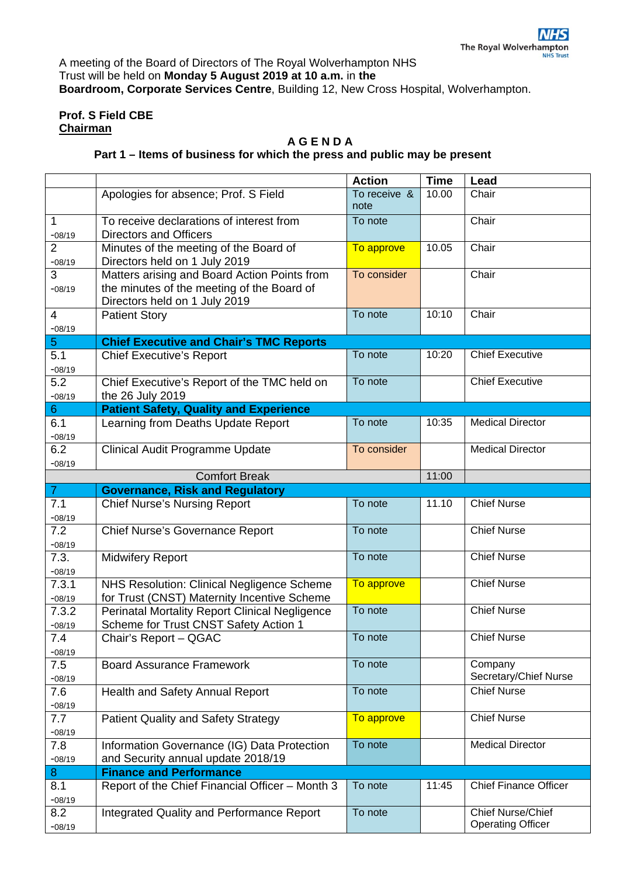A meeting of the Board of Directors of The Royal Wolverhampton NHS Trust will be held on **Monday 5 August 2019 at 10 a.m.** in **the Boardroom, Corporate Services Centre**, Building 12, New Cross Hospital, Wolverhampton.

## **Prof. S Field CBE Chairman**

## **A G E N D A**

## **Part 1 – Items of business for which the press and public may be present**

|                            |                                                                                                                             | <b>Action</b>        | <b>Time</b> | Lead                                                 |  |  |  |  |
|----------------------------|-----------------------------------------------------------------------------------------------------------------------------|----------------------|-------------|------------------------------------------------------|--|--|--|--|
|                            | Apologies for absence; Prof. S Field                                                                                        | To receive &<br>note | 10.00       | Chair                                                |  |  |  |  |
| $\mathbf{1}$<br>$-08/19$   | To receive declarations of interest from<br><b>Directors and Officers</b>                                                   | To note              |             | Chair                                                |  |  |  |  |
| $\overline{2}$<br>$-08/19$ | Minutes of the meeting of the Board of<br>Directors held on 1 July 2019                                                     | To approve           | 10.05       | Chair                                                |  |  |  |  |
| 3<br>$-08/19$              | Matters arising and Board Action Points from<br>the minutes of the meeting of the Board of<br>Directors held on 1 July 2019 | To consider          |             | Chair                                                |  |  |  |  |
| $\overline{4}$<br>$-08/19$ | <b>Patient Story</b>                                                                                                        | To note              | 10:10       | Chair                                                |  |  |  |  |
| $\overline{5}$             | <b>Chief Executive and Chair's TMC Reports</b>                                                                              |                      |             |                                                      |  |  |  |  |
| 5.1<br>$-08/19$            | <b>Chief Executive's Report</b>                                                                                             | To note              | 10:20       | <b>Chief Executive</b>                               |  |  |  |  |
| 5.2<br>$-08/19$            | Chief Executive's Report of the TMC held on<br>the 26 July 2019                                                             | To note              |             | <b>Chief Executive</b>                               |  |  |  |  |
| $6\phantom{1}$             | <b>Patient Safety, Quality and Experience</b>                                                                               |                      |             |                                                      |  |  |  |  |
| 6.1<br>$-08/19$            | Learning from Deaths Update Report                                                                                          | To note              | 10:35       | <b>Medical Director</b>                              |  |  |  |  |
| 6.2<br>$-08/19$            | Clinical Audit Programme Update                                                                                             | To consider          |             | <b>Medical Director</b>                              |  |  |  |  |
|                            | <b>Comfort Break</b>                                                                                                        | 11:00                |             |                                                      |  |  |  |  |
| $\overline{7}$             | <b>Governance, Risk and Regulatory</b>                                                                                      |                      |             |                                                      |  |  |  |  |
| 7.1<br>$-08/19$            | <b>Chief Nurse's Nursing Report</b>                                                                                         | To note              | 11.10       | <b>Chief Nurse</b>                                   |  |  |  |  |
| 7.2<br>$-08/19$            | <b>Chief Nurse's Governance Report</b>                                                                                      | To note              |             | <b>Chief Nurse</b>                                   |  |  |  |  |
| 7.3.<br>$-08/19$           | <b>Midwifery Report</b>                                                                                                     | To note              |             | <b>Chief Nurse</b>                                   |  |  |  |  |
| 7.3.1<br>$-08/19$          | NHS Resolution: Clinical Negligence Scheme<br>for Trust (CNST) Maternity Incentive Scheme                                   | To approve           |             | <b>Chief Nurse</b>                                   |  |  |  |  |
| 7.3.2<br>$-08/19$          | <b>Perinatal Mortality Report Clinical Negligence</b><br>Scheme for Trust CNST Safety Action 1                              | To note              |             | <b>Chief Nurse</b>                                   |  |  |  |  |
| 7.4<br>$-08/19$            | Chair's Report - QGAC                                                                                                       | To note              |             | <b>Chief Nurse</b>                                   |  |  |  |  |
| 7.5<br>$-08/19$            | <b>Board Assurance Framework</b>                                                                                            | To note              |             | Company<br>Secretary/Chief Nurse                     |  |  |  |  |
| 7.6<br>$-08/19$            | Health and Safety Annual Report                                                                                             | To note              |             | <b>Chief Nurse</b>                                   |  |  |  |  |
| 7.7<br>$-08/19$            | <b>Patient Quality and Safety Strategy</b>                                                                                  | To approve           |             | <b>Chief Nurse</b>                                   |  |  |  |  |
| 7.8<br>$-08/19$            | Information Governance (IG) Data Protection<br>and Security annual update 2018/19                                           | To note              |             | <b>Medical Director</b>                              |  |  |  |  |
| 8                          | <b>Finance and Performance</b>                                                                                              |                      |             |                                                      |  |  |  |  |
| 8.1<br>$-08/19$            | Report of the Chief Financial Officer - Month 3                                                                             | To note              | 11:45       | <b>Chief Finance Officer</b>                         |  |  |  |  |
| 8.2<br>$-08/19$            | <b>Integrated Quality and Performance Report</b>                                                                            | To note              |             | <b>Chief Nurse/Chief</b><br><b>Operating Officer</b> |  |  |  |  |